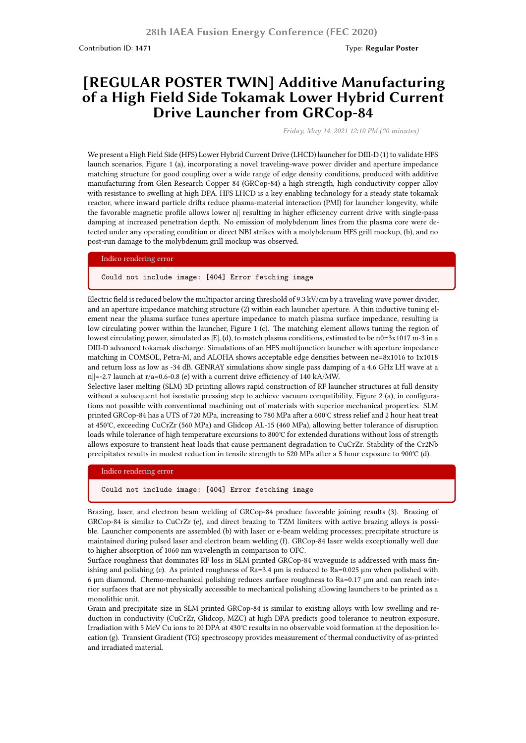## **[REGULAR POSTER TWIN] Additive Manufacturing of a High Field Side Tokamak Lower Hybrid Current Drive Launcher from GRCop-84**

*Friday, May 14, 2021 12:10 PM (20 minutes)*

We present a High Field Side (HFS) Lower Hybrid Current Drive (LHCD) launcher for DIII-D (1) to validate HFS launch scenarios, Figure 1 (a), incorporating a novel traveling-wave power divider and aperture impedance matching structure for good coupling over a wide range of edge density conditions, produced with additive manufacturing from Glen Research Copper 84 (GRCop-84) a high strength, high conductivity copper alloy with resistance to swelling at high DPA. HFS LHCD is a key enabling technology for a steady state tokamak reactor, where inward particle drifts reduce plasma-material interaction (PMI) for launcher longevity, while the favorable magnetic profile allows lower n|| resulting in higher efficiency current drive with single-pass damping at increased penetration depth. No emission of molybdenum lines from the plasma core were detected under any operating condition or direct NBI strikes with a molybdenum HFS grill mockup, (b), and no post-run damage to the molybdenum grill mockup was observed.

## Indico rendering error

Could not include image: [404] Error fetching image

Electric field is reduced below the multipactor arcing threshold of 9.3 kV/cm by a traveling wave power divider, and an aperture impedance matching structure (2) within each launcher aperture. A thin inductive tuning element near the plasma surface tunes aperture impedance to match plasma surface impedance, resulting is low circulating power within the launcher, Figure 1 (c). The matching element allows tuning the region of lowest circulating power, simulated as  $|E|$ , (d), to match plasma conditions, estimated to be n0=3x1017 m-3 in a DIII-D advanced tokamak discharge. Simulations of an HFS multijunction launcher with aperture impedance matching in COMSOL, Petra-M, and ALOHA shows acceptable edge densities between ne=8x1016 to 1x1018 and return loss as low as -34 dB. GENRAY simulations show single pass damping of a 4.6 GHz LH wave at a n $||=-2.7$  launch at r/a=0.6-0.8 (e) with a current drive efficiency of 140 kA/MW.

Selective laser melting (SLM) 3D printing allows rapid construction of RF launcher structures at full density without a subsequent hot isostatic pressing step to achieve vacuum compatibility, Figure 2 (a), in configurations not possible with conventional machining out of materials with superior mechanical properties. SLM printed GRCop-84 has a UTS of 720 MPa, increasing to 780 MPa after a 600℃ stress relief and 2 hour heat treat at 450℃, exceeding CuCrZr (560 MPa) and Glidcop AL-15 (460 MPa), allowing better tolerance of disruption loads while tolerance of high temperature excursions to 800℃ for extended durations without loss of strength allows exposure to transient heat loads that cause permanent degradation to CuCrZr. Stability of the Cr2Nb precipitates results in modest reduction in tensile strength to 520 MPa after a 5 hour exposure to 900℃ (d).

Indico rendering error

Could not include image: [404] Error fetching image

Brazing, laser, and electron beam welding of GRCop-84 produce favorable joining results (3). Brazing of GRCop-84 is similar to CuCrZr (e), and direct brazing to TZM limiters with active brazing alloys is possible. Launcher components are assembled (b) with laser or e-beam welding processes; precipitate structure is maintained during pulsed laser and electron beam welding (f). GRCop-84 laser welds exceptionally well due to higher absorption of 1060 nm wavelength in comparison to OFC.

Surface roughness that dominates RF loss in SLM printed GRCop-84 waveguide is addressed with mass finishing and polishing (c). As printed roughness of Ra=3.4  $\mu$ m is reduced to Ra=0.025  $\mu$ m when polished with 6 μm diamond. Chemo-mechanical polishing reduces surface roughness to Ra=0.17 μm and can reach interior surfaces that are not physically accessible to mechanical polishing allowing launchers to be printed as a monolithic unit.

Grain and precipitate size in SLM printed GRCop-84 is similar to existing alloys with low swelling and reduction in conductivity (CuCrZr, Glidcop, MZC) at high DPA predicts good tolerance to neutron exposure. Irradiation with 5 MeV Cu ions to 20 DPA at 430℃ results in no observable void formation at the deposition location (g). Transient Gradient (TG) spectroscopy provides measurement of thermal conductivity of as-printed and irradiated material.